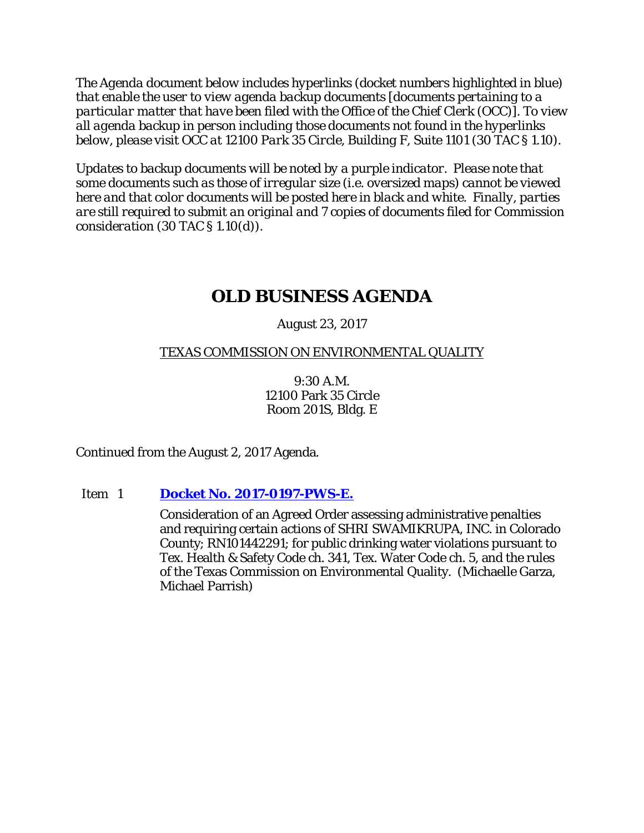*The Agenda document below includes hyperlinks (docket numbers highlighted in blue) that enable the user to view agenda backup documents [documents pertaining to a particular matter that have been filed with the Office of the Chief Clerk (OCC)]. To view all agenda backup in person including those documents not found in the hyperlinks below, please visit OCC at 12100 Park 35 Circle, Building F, Suite 1101 (30 TAC § 1.10).*

*Updates to backup documents will be noted by a purple indicator. Please note that some documents such as those of irregular size (i.e. oversized maps) cannot be viewed here and that color documents will be posted here in black and white. Finally, parties are still required to submit an original and 7 copies of documents filed for Commission consideration (30 TAC § 1.10(d)).*

# **OLD BUSINESS AGENDA**

August 23, 2017

# TEXAS COMMISSION ON ENVIRONMENTAL QUALITY

9:30 A.M. 12100 Park 35 Circle Room 201S, Bldg. E

Continued from the August 2, 2017 Agenda.

Item 1 **Docket No. [2017-0197-PWS-E.](http://www.tceq.texas.gov/assets/public/comm_exec/agendas/comm/backup/Agendas/2017/08-23-2017/0197PWS.pdf)**

Consideration of an Agreed Order assessing administrative penalties and requiring certain actions of SHRI SWAMIKRUPA, INC. in Colorado County; RN101442291; for public drinking water violations pursuant to Tex. Health & Safety Code ch. 341, Tex. Water Code ch. 5, and the rules of the Texas Commission on Environmental Quality. (Michaelle Garza, Michael Parrish)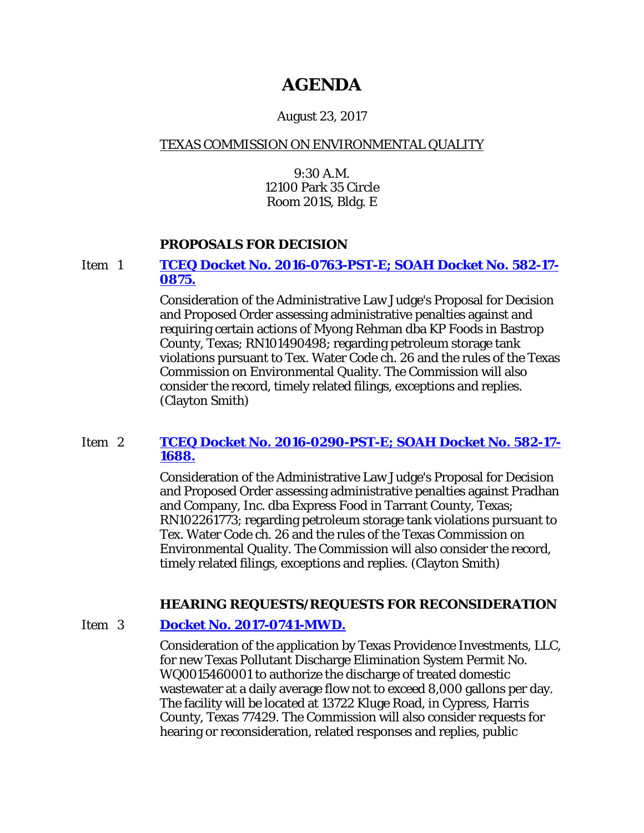# **AGENDA**

# August 23, 2017

# TEXAS COMMISSION ON ENVIRONMENTAL QUALITY

9:30 A.M. 12100 Park 35 Circle Room 201S, Bldg. E

### **PROPOSALS FOR DECISION**

### Item 1 **[TCEQ Docket No. 2016-0763-PST-E; SOAH Docket No. 582-17-](http://www.tceq.texas.gov/assets/public/comm_exec/agendas/comm/backup/Agendas/2017/08-23-2017/myong.pdf) [0875.](http://www.tceq.texas.gov/assets/public/comm_exec/agendas/comm/backup/Agendas/2017/08-23-2017/myong.pdf)**

Consideration of the Administrative Law Judge's Proposal for Decision and Proposed Order assessing administrative penalties against and requiring certain actions of Myong Rehman dba KP Foods in Bastrop County, Texas; RN101490498; regarding petroleum storage tank violations pursuant to Tex. Water Code ch. 26 and the rules of the Texas Commission on Environmental Quality. The Commission will also consider the record, timely related filings, exceptions and replies. (Clayton Smith)

# Item 2 **[TCEQ Docket No. 2016-0290-PST-E; SOAH Docket No. 582-17-](http://www.tceq.texas.gov/assets/public/comm_exec/agendas/comm/backup/Agendas/2017/08-23-2017/pradhan.pdf) [1688.](http://www.tceq.texas.gov/assets/public/comm_exec/agendas/comm/backup/Agendas/2017/08-23-2017/pradhan.pdf)**

Consideration of the Administrative Law Judge's Proposal for Decision and Proposed Order assessing administrative penalties against Pradhan and Company, Inc. dba Express Food in Tarrant County, Texas; RN102261773; regarding petroleum storage tank violations pursuant to Tex. Water Code ch. 26 and the rules of the Texas Commission on Environmental Quality. The Commission will also consider the record, timely related filings, exceptions and replies. (Clayton Smith)

### **HEARING REQUESTS/REQUESTS FOR RECONSIDERATION**

### Item 3 **[Docket No. 2017-0741-MWD.](http://www.tceq.texas.gov/assets/public/comm_exec/agendas/comm/backup/Agendas/2017/08-23-2017/providence.pdf)**

Consideration of the application by Texas Providence Investments, LLC, for new Texas Pollutant Discharge Elimination System Permit No. WQ0015460001 to authorize the discharge of treated domestic wastewater at a daily average flow not to exceed 8,000 gallons per day. The facility will be located at 13722 Kluge Road, in Cypress, Harris County, Texas 77429. The Commission will also consider requests for hearing or reconsideration, related responses and replies, public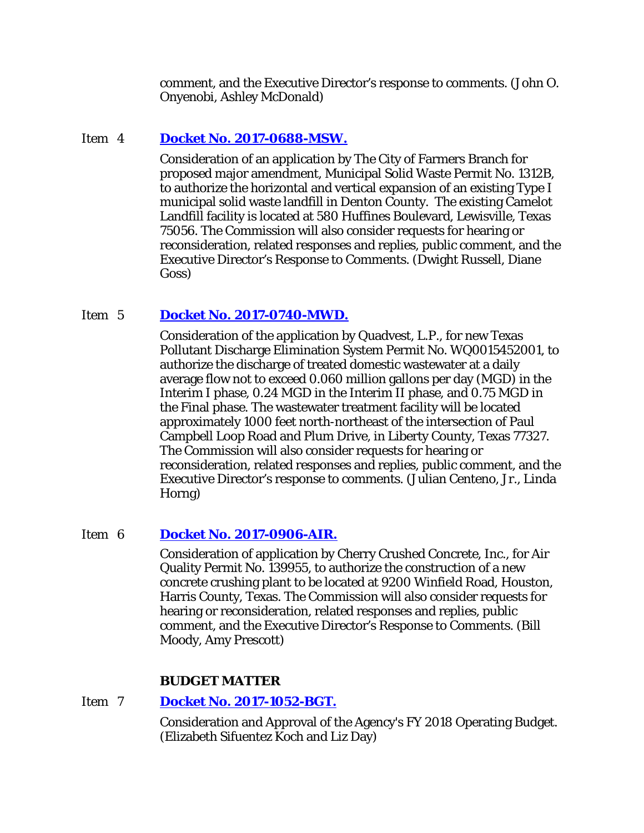comment, and the Executive Director's response to comments. (John O. Onyenobi, Ashley McDonald)

# Item 4 **[Docket No. 2017-0688-MSW.](http://www.tceq.texas.gov/assets/public/comm_exec/agendas/comm/backup/Agendas/2017/08-23-2017/farmers.pdf)**

Consideration of an application by The City of Farmers Branch for proposed major amendment, Municipal Solid Waste Permit No. 1312B, to authorize the horizontal and vertical expansion of an existing Type I municipal solid waste landfill in Denton County. The existing Camelot Landfill facility is located at 580 Huffines Boulevard, Lewisville, Texas 75056. The Commission will also consider requests for hearing or reconsideration, related responses and replies, public comment, and the Executive Director's Response to Comments. (Dwight Russell, Diane Goss)

# Item 5 **Docket No. [2017-0740-MWD.](http://www.tceq.texas.gov/assets/public/comm_exec/agendas/comm/backup/Agendas/2017/08-23-2017/quadvest.pdf)**

Consideration of the application by Quadvest, L.P., for new Texas Pollutant Discharge Elimination System Permit No. WQ0015452001, to authorize the discharge of treated domestic wastewater at a daily average flow not to exceed 0.060 million gallons per day (MGD) in the Interim I phase, 0.24 MGD in the Interim II phase, and 0.75 MGD in the Final phase. The wastewater treatment facility will be located approximately 1000 feet north-northeast of the intersection of Paul Campbell Loop Road and Plum Drive, in Liberty County, Texas 77327. The Commission will also consider requests for hearing or reconsideration, related responses and replies, public comment, and the Executive Director's response to comments. (Julian Centeno, Jr., Linda Horng)

### Item 6 **Docket No. [2017-0906-AIR.](http://www.tceq.texas.gov/assets/public/comm_exec/agendas/comm/backup/Agendas/2017/08-23-2017/cherry.pdf)**

Consideration of application by Cherry Crushed Concrete, Inc., for Air Quality Permit No. 139955, to authorize the construction of a new concrete crushing plant to be located at 9200 Winfield Road, Houston, Harris County, Texas. The Commission will also consider requests for hearing or reconsideration, related responses and replies, public comment, and the Executive Director's Response to Comments. (Bill Moody, Amy Prescott)

### **BUDGET MATTER**

### Item 7 **Docket No. [2017-1052-BGT.](http://www.tceq.texas.gov/assets/public/comm_exec/agendas/comm/backup/Agendas/2017/08-23-2017/1052BGT.pdf)**

Consideration and Approval of the Agency's FY 2018 Operating Budget. (Elizabeth Sifuentez Koch and Liz Day)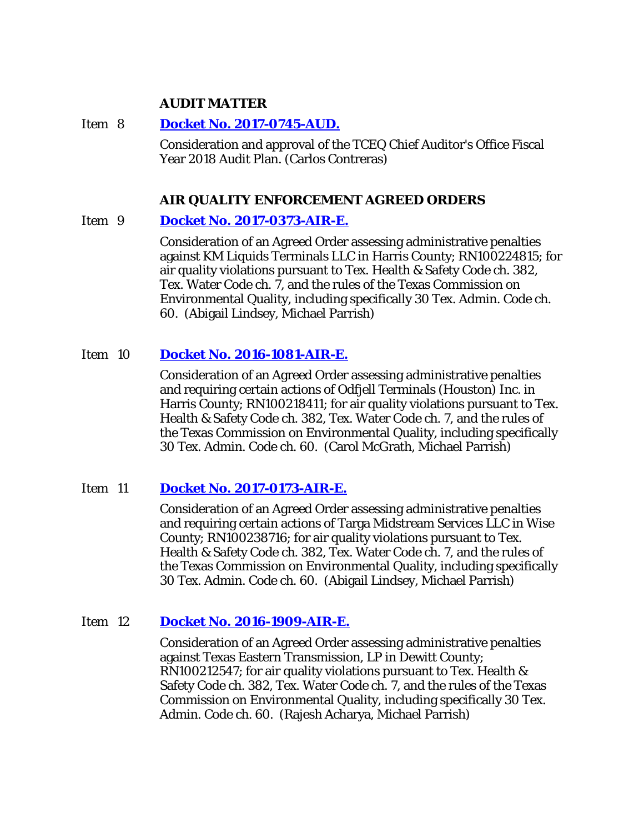### **AUDIT MATTER**

Item 8 **Docket No. [2017-0745-AUD.](http://www.tceq.texas.gov/assets/public/comm_exec/agendas/comm/backup/Agendas/2017/08-23-2017/0745AUD.pdf)**

Consideration and approval of the TCEQ Chief Auditor's Office Fiscal Year 2018 Audit Plan. (Carlos Contreras)

### **AIR QUALITY ENFORCEMENT AGREED ORDERS**

### Item 9 **[Docket No. 2017-0373-AIR-E.](http://www.tceq.texas.gov/assets/public/comm_exec/agendas/comm/backup/Agendas/2017/08-23-2017/0373AIR.pdf)**

Consideration of an Agreed Order assessing administrative penalties against KM Liquids Terminals LLC in Harris County; RN100224815; for air quality violations pursuant to Tex. Health & Safety Code ch. 382, Tex. Water Code ch. 7, and the rules of the Texas Commission on Environmental Quality, including specifically 30 Tex. Admin. Code ch. 60. (Abigail Lindsey, Michael Parrish)

### Item 10 **[Docket No. 2016-1081-AIR-E.](http://www.tceq.texas.gov/assets/public/comm_exec/agendas/comm/backup/Agendas/2017/08-23-2017/1081AIR.pdf)**

Consideration of an Agreed Order assessing administrative penalties and requiring certain actions of Odfjell Terminals (Houston) Inc. in Harris County; RN100218411; for air quality violations pursuant to Tex. Health & Safety Code ch. 382, Tex. Water Code ch. 7, and the rules of the Texas Commission on Environmental Quality, including specifically 30 Tex. Admin. Code ch. 60. (Carol McGrath, Michael Parrish)

### Item 11 **[Docket No. 2017-0173-AIR-E.](http://www.tceq.texas.gov/assets/public/comm_exec/agendas/comm/backup/Agendas/2017/08-23-2017/0173AIR.pdf)**

Consideration of an Agreed Order assessing administrative penalties and requiring certain actions of Targa Midstream Services LLC in Wise County; RN100238716; for air quality violations pursuant to Tex. Health & Safety Code ch. 382, Tex. Water Code ch. 7, and the rules of the Texas Commission on Environmental Quality, including specifically 30 Tex. Admin. Code ch. 60. (Abigail Lindsey, Michael Parrish)

### Item 12 **[Docket No. 2016-1909-AIR-E.](http://www.tceq.texas.gov/assets/public/comm_exec/agendas/comm/backup/Agendas/2017/08-23-2017/1909AIR.pdf)**

Consideration of an Agreed Order assessing administrative penalties against Texas Eastern Transmission, LP in Dewitt County; RN100212547; for air quality violations pursuant to Tex. Health & Safety Code ch. 382, Tex. Water Code ch. 7, and the rules of the Texas Commission on Environmental Quality, including specifically 30 Tex. Admin. Code ch. 60. (Rajesh Acharya, Michael Parrish)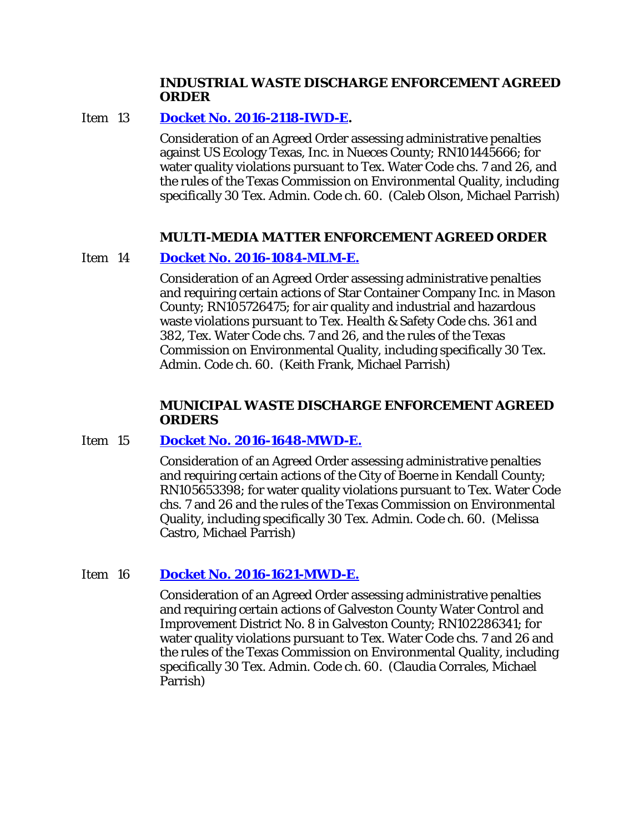### **INDUSTRIAL WASTE DISCHARGE ENFORCEMENT AGREED ORDER**

### Item 13 **[Docket No. 2016-2118-IWD-E.](http://www.tceq.texas.gov/assets/public/comm_exec/agendas/comm/backup/Agendas/2017/08-23-2017/2118IWD.pdf)**

Consideration of an Agreed Order assessing administrative penalties against US Ecology Texas, Inc. in Nueces County; RN101445666; for water quality violations pursuant to Tex. Water Code chs. 7 and 26, and the rules of the Texas Commission on Environmental Quality, including specifically 30 Tex. Admin. Code ch. 60. (Caleb Olson, Michael Parrish)

# **MULTI-MEDIA MATTER ENFORCEMENT AGREED ORDER**

### Item 14 **[Docket No. 2016-1084-MLM-E.](http://www.tceq.texas.gov/assets/public/comm_exec/agendas/comm/backup/Agendas/2017/08-23-2017/1084MLM.pdf)**

Consideration of an Agreed Order assessing administrative penalties and requiring certain actions of Star Container Company Inc. in Mason County; RN105726475; for air quality and industrial and hazardous waste violations pursuant to Tex. Health & Safety Code chs. 361 and 382, Tex. Water Code chs. 7 and 26, and the rules of the Texas Commission on Environmental Quality, including specifically 30 Tex. Admin. Code ch. 60. (Keith Frank, Michael Parrish)

### **MUNICIPAL WASTE DISCHARGE ENFORCEMENT AGREED ORDERS**

### Item 15 **[Docket No. 2016-1648-MWD-E.](http://www.tceq.texas.gov/assets/public/comm_exec/agendas/comm/backup/Agendas/2017/08-23-2017/1648MWD.pdf)**

Consideration of an Agreed Order assessing administrative penalties and requiring certain actions of the City of Boerne in Kendall County; RN105653398; for water quality violations pursuant to Tex. Water Code chs. 7 and 26 and the rules of the Texas Commission on Environmental Quality, including specifically 30 Tex. Admin. Code ch. 60. (Melissa Castro, Michael Parrish)

### Item 16 **[Docket No. 2016-1621-MWD-E.](http://www.tceq.texas.gov/assets/public/comm_exec/agendas/comm/backup/Agendas/2017/08-23-2017/1621MWD.pdf)**

Consideration of an Agreed Order assessing administrative penalties and requiring certain actions of Galveston County Water Control and Improvement District No. 8 in Galveston County; RN102286341; for water quality violations pursuant to Tex. Water Code chs. 7 and 26 and the rules of the Texas Commission on Environmental Quality, including specifically 30 Tex. Admin. Code ch. 60. (Claudia Corrales, Michael Parrish)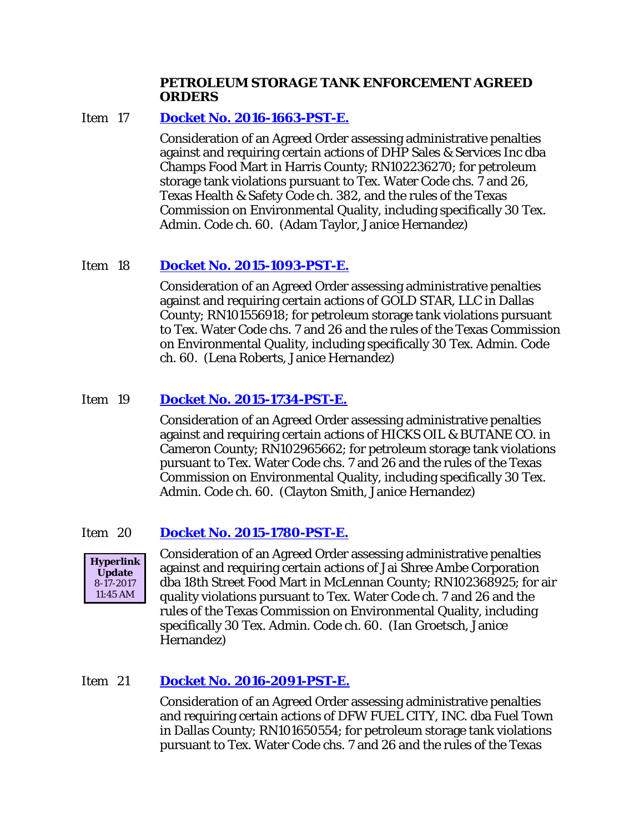### **PETROLEUM STORAGE TANK ENFORCEMENT AGREED ORDERS**

# Item 17 **Docket No. [2016-1663-PST-E.](http://www.tceq.texas.gov/assets/public/comm_exec/agendas/comm/backup/Agendas/2017/08-23-2017/1663PST.pdf)**

Consideration of an Agreed Order assessing administrative penalties against and requiring certain actions of DHP Sales & Services Inc dba Champs Food Mart in Harris County; RN102236270; for petroleum storage tank violations pursuant to Tex. Water Code chs. 7 and 26, Texas Health & Safety Code ch. 382, and the rules of the Texas Commission on Environmental Quality, including specifically 30 Tex. Admin. Code ch. 60. (Adam Taylor, Janice Hernandez)

# Item 18 **Docket No. [2015-1093-PST-E.](http://www.tceq.texas.gov/assets/public/comm_exec/agendas/comm/backup/Agendas/2017/08-23-2017/1093PST.pdf)**

Consideration of an Agreed Order assessing administrative penalties against and requiring certain actions of GOLD STAR, LLC in Dallas County; RN101556918; for petroleum storage tank violations pursuant to Tex. Water Code chs. 7 and 26 and the rules of the Texas Commission on Environmental Quality, including specifically 30 Tex. Admin. Code ch. 60. (Lena Roberts, Janice Hernandez)

# Item 19 **Docket No. [2015-1734-PST-E.](http://www.tceq.texas.gov/assets/public/comm_exec/agendas/comm/backup/Agendas/2017/08-23-2017/1734PST.pdf)**

Consideration of an Agreed Order assessing administrative penalties against and requiring certain actions of HICKS OIL & BUTANE CO. in Cameron County; RN102965662; for petroleum storage tank violations pursuant to Tex. Water Code chs. 7 and 26 and the rules of the Texas Commission on Environmental Quality, including specifically 30 Tex. Admin. Code ch. 60. (Clayton Smith, Janice Hernandez)

# Item 20 **Docket No. [2015-1780-PST-E.](http://www.tceq.texas.gov/assets/public/comm_exec/agendas/comm/backup/Agendas/2017/08-23-2017/1780PST.pdf)**



Consideration of an Agreed Order assessing administrative penalties against and requiring certain actions of Jai Shree Ambe Corporation dba 18th Street Food Mart in McLennan County; RN102368925; for air quality violations pursuant to Tex. Water Code ch. 7 and 26 and the rules of the Texas Commission on Environmental Quality, including specifically 30 Tex. Admin. Code ch. 60. (Ian Groetsch, Janice Hernandez)

# Item 21 **[Docket No. 2016-2091-PST-E.](http://www.tceq.texas.gov/assets/public/comm_exec/agendas/comm/backup/Agendas/2017/08-23-2017/2091PST.pdf)**

Consideration of an Agreed Order assessing administrative penalties and requiring certain actions of DFW FUEL CITY, INC. dba Fuel Town in Dallas County; RN101650554; for petroleum storage tank violations pursuant to Tex. Water Code chs. 7 and 26 and the rules of the Texas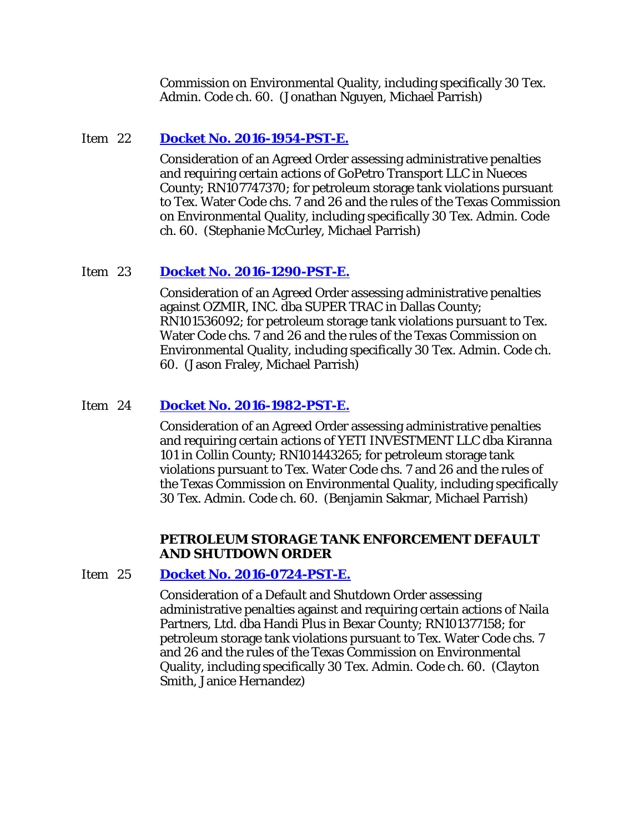Commission on Environmental Quality, including specifically 30 Tex. Admin. Code ch. 60. (Jonathan Nguyen, Michael Parrish)

# Item 22 **[Docket No. 2016-1954-PST-E.](http://www.tceq.texas.gov/assets/public/comm_exec/agendas/comm/backup/Agendas/2017/08-23-2017/1954PST.pdf)**

Consideration of an Agreed Order assessing administrative penalties and requiring certain actions of GoPetro Transport LLC in Nueces County; RN107747370; for petroleum storage tank violations pursuant to Tex. Water Code chs. 7 and 26 and the rules of the Texas Commission on Environmental Quality, including specifically 30 Tex. Admin. Code ch. 60. (Stephanie McCurley, Michael Parrish)

# Item 23 **[Docket No. 2016-1290-PST-E.](http://www.tceq.texas.gov/assets/public/comm_exec/agendas/comm/backup/Agendas/2017/08-23-2017/1290PST.pdf)**

Consideration of an Agreed Order assessing administrative penalties against OZMIR, INC. dba SUPER TRAC in Dallas County; RN101536092; for petroleum storage tank violations pursuant to Tex. Water Code chs. 7 and 26 and the rules of the Texas Commission on Environmental Quality, including specifically 30 Tex. Admin. Code ch. 60. (Jason Fraley, Michael Parrish)

# Item 24 **[Docket No. 2016-1982-PST-E.](http://www.tceq.texas.gov/assets/public/comm_exec/agendas/comm/backup/Agendas/2017/08-23-2017/1982PST.pdf)**

Consideration of an Agreed Order assessing administrative penalties and requiring certain actions of YETI INVESTMENT LLC dba Kiranna 101 in Collin County; RN101443265; for petroleum storage tank violations pursuant to Tex. Water Code chs. 7 and 26 and the rules of the Texas Commission on Environmental Quality, including specifically 30 Tex. Admin. Code ch. 60. (Benjamin Sakmar, Michael Parrish)

### **PETROLEUM STORAGE TANK ENFORCEMENT DEFAULT AND SHUTDOWN ORDER**

# Item 25 **Docket No. [2016-0724-PST-E.](http://www.tceq.texas.gov/assets/public/comm_exec/agendas/comm/backup/Agendas/2017/08-23-2017/0724PST.pdf)**

Consideration of a Default and Shutdown Order assessing administrative penalties against and requiring certain actions of Naila Partners, Ltd. dba Handi Plus in Bexar County; RN101377158; for petroleum storage tank violations pursuant to Tex. Water Code chs. 7 and 26 and the rules of the Texas Commission on Environmental Quality, including specifically 30 Tex. Admin. Code ch. 60. (Clayton Smith, Janice Hernandez)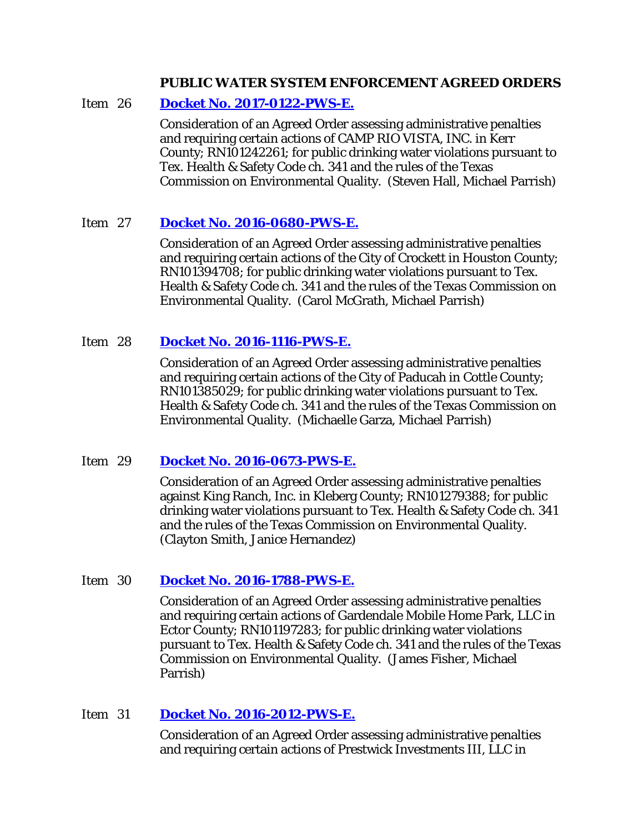### **PUBLIC WATER SYSTEM ENFORCEMENT AGREED ORDERS**

### Item 26 **[Docket No. 2017-0122-PWS-E.](http://www.tceq.texas.gov/assets/public/comm_exec/agendas/comm/backup/Agendas/2017/08-23-2017/0122PWS.pdf)**

Consideration of an Agreed Order assessing administrative penalties and requiring certain actions of CAMP RIO VISTA, INC. in Kerr County; RN101242261; for public drinking water violations pursuant to Tex. Health & Safety Code ch. 341 and the rules of the Texas Commission on Environmental Quality. (Steven Hall, Michael Parrish)

### Item 27 **[Docket No. 2016-0680-PWS-E.](http://www.tceq.texas.gov/assets/public/comm_exec/agendas/comm/backup/Agendas/2017/08-23-2017/0680PWS.pdf)**

Consideration of an Agreed Order assessing administrative penalties and requiring certain actions of the City of Crockett in Houston County; RN101394708; for public drinking water violations pursuant to Tex. Health & Safety Code ch. 341 and the rules of the Texas Commission on Environmental Quality. (Carol McGrath, Michael Parrish)

### Item 28 **[Docket No. 2016-1116-PWS-E.](http://www.tceq.texas.gov/assets/public/comm_exec/agendas/comm/backup/Agendas/2017/08-23-2017/1116PWS.pdf)**

Consideration of an Agreed Order assessing administrative penalties and requiring certain actions of the City of Paducah in Cottle County; RN101385029; for public drinking water violations pursuant to Tex. Health & Safety Code ch. 341 and the rules of the Texas Commission on Environmental Quality. (Michaelle Garza, Michael Parrish)

### Item 29 **Docket No. [2016-0673-PWS-E.](http://www.tceq.texas.gov/assets/public/comm_exec/agendas/comm/backup/Agendas/2017/08-23-2017/0673PWS.pdf)**

Consideration of an Agreed Order assessing administrative penalties against King Ranch, Inc. in Kleberg County; RN101279388; for public drinking water violations pursuant to Tex. Health & Safety Code ch. 341 and the rules of the Texas Commission on Environmental Quality. (Clayton Smith, Janice Hernandez)

### Item 30 **[Docket No. 2016-1788-PWS-E.](http://www.tceq.texas.gov/assets/public/comm_exec/agendas/comm/backup/Agendas/2017/08-23-2017/1788PWS.pdf)**

Consideration of an Agreed Order assessing administrative penalties and requiring certain actions of Gardendale Mobile Home Park, LLC in Ector County; RN101197283; for public drinking water violations pursuant to Tex. Health & Safety Code ch. 341 and the rules of the Texas Commission on Environmental Quality. (James Fisher, Michael Parrish)

### Item 31 **[Docket No. 2016-2012-PWS-E.](http://www.tceq.texas.gov/assets/public/comm_exec/agendas/comm/backup/Agendas/2017/08-23-2017/2012PWS.pdf)**

Consideration of an Agreed Order assessing administrative penalties and requiring certain actions of Prestwick Investments III, LLC in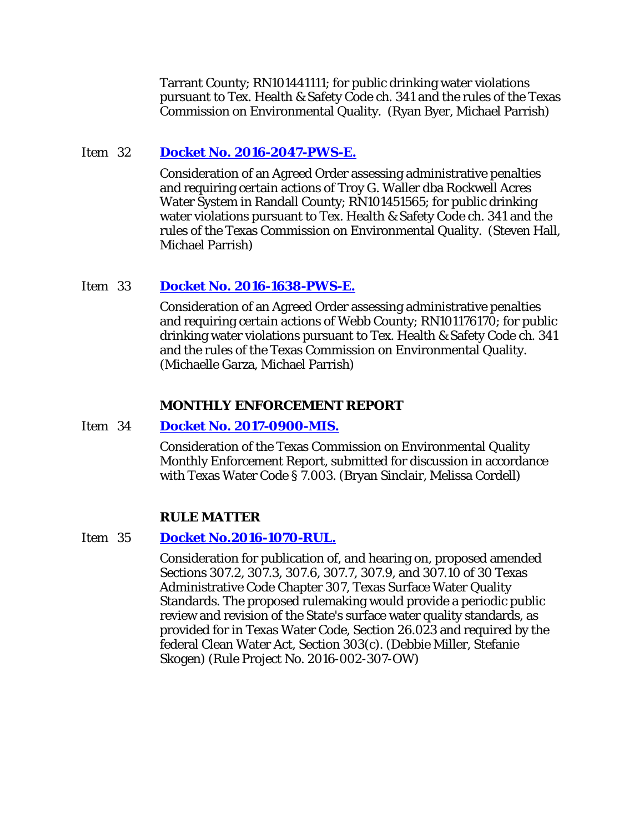Tarrant County; RN101441111; for public drinking water violations pursuant to Tex. Health & Safety Code ch. 341 and the rules of the Texas Commission on Environmental Quality. (Ryan Byer, Michael Parrish)

### Item 32 **[Docket No. 2016-2047-PWS-E.](http://www.tceq.texas.gov/assets/public/comm_exec/agendas/comm/backup/Agendas/2017/08-23-2017/2047PWS.pdf)**

Consideration of an Agreed Order assessing administrative penalties and requiring certain actions of Troy G. Waller dba Rockwell Acres Water System in Randall County; RN101451565; for public drinking water violations pursuant to Tex. Health & Safety Code ch. 341 and the rules of the Texas Commission on Environmental Quality. (Steven Hall, Michael Parrish)

### Item 33 **[Docket No. 2016-1638-PWS-E.](http://www.tceq.texas.gov/assets/public/comm_exec/agendas/comm/backup/Agendas/2017/08-23-2017/1638PWS.pdf)**

Consideration of an Agreed Order assessing administrative penalties and requiring certain actions of Webb County; RN101176170; for public drinking water violations pursuant to Tex. Health & Safety Code ch. 341 and the rules of the Texas Commission on Environmental Quality. (Michaelle Garza, Michael Parrish)

### **MONTHLY ENFORCEMENT REPORT**

### Item 34 **Docket No. [2017-0900-MIS.](http://www.tceq.texas.gov/assets/public/comm_exec/agendas/comm/backup/Agendas/2017/08-23-2017/0900MIS.pdf)**

Consideration of the Texas Commission on Environmental Quality Monthly Enforcement Report, submitted for discussion in accordance with Texas Water Code § 7.003. (Bryan Sinclair, Melissa Cordell)

### **RULE MATTER**

### Item 35 **[Docket No.2016-1070-RUL.](http://www.tceq.texas.gov/assets/public/comm_exec/agendas/comm/backup/Agendas/2017/08-23-2017/1070RUL.pdf)**

Consideration for publication of, and hearing on, proposed amended Sections 307.2, 307.3, 307.6, 307.7, 307.9, and 307.10 of 30 Texas Administrative Code Chapter 307, Texas Surface Water Quality Standards. The proposed rulemaking would provide a periodic public review and revision of the State's surface water quality standards, as provided for in Texas Water Code, Section 26.023 and required by the federal Clean Water Act, Section 303(c). (Debbie Miller, Stefanie Skogen) (Rule Project No. 2016-002-307-OW)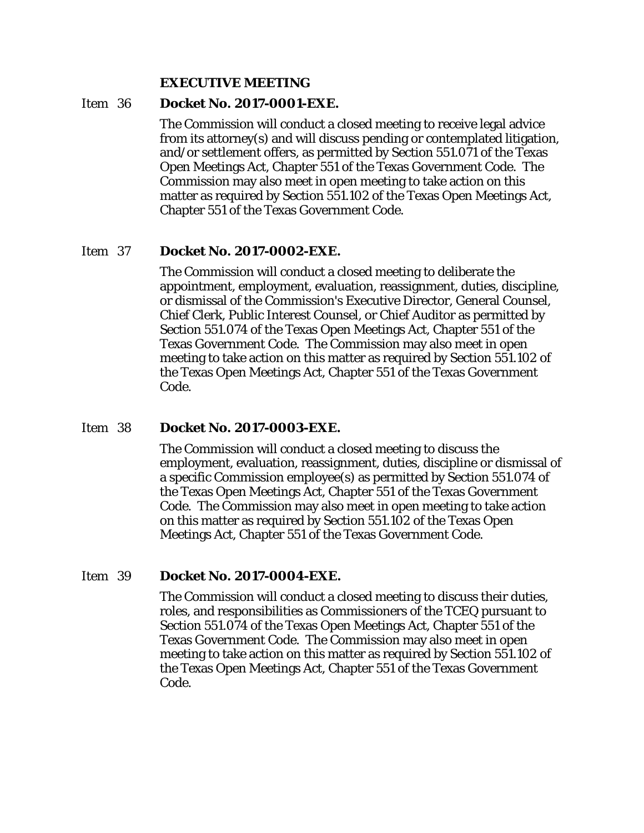#### **EXECUTIVE MEETING**

# Item 36 **Docket No. 2017-0001-EXE.**

The Commission will conduct a closed meeting to receive legal advice from its attorney(s) and will discuss pending or contemplated litigation, and/or settlement offers, as permitted by Section 551.071 of the Texas Open Meetings Act, Chapter 551 of the Texas Government Code. The Commission may also meet in open meeting to take action on this matter as required by Section 551.102 of the Texas Open Meetings Act, Chapter 551 of the Texas Government Code.

# Item 37 **Docket No. 2017-0002-EXE.**

The Commission will conduct a closed meeting to deliberate the appointment, employment, evaluation, reassignment, duties, discipline, or dismissal of the Commission's Executive Director, General Counsel, Chief Clerk, Public Interest Counsel, or Chief Auditor as permitted by Section 551.074 of the Texas Open Meetings Act, Chapter 551 of the Texas Government Code. The Commission may also meet in open meeting to take action on this matter as required by Section 551.102 of the Texas Open Meetings Act, Chapter 551 of the Texas Government Code.

### Item 38 **Docket No. 2017-0003-EXE.**

The Commission will conduct a closed meeting to discuss the employment, evaluation, reassignment, duties, discipline or dismissal of a specific Commission employee(s) as permitted by Section 551.074 of the Texas Open Meetings Act, Chapter 551 of the Texas Government Code. The Commission may also meet in open meeting to take action on this matter as required by Section 551.102 of the Texas Open Meetings Act, Chapter 551 of the Texas Government Code.

### Item 39 **Docket No. 2017-0004-EXE.**

The Commission will conduct a closed meeting to discuss their duties, roles, and responsibilities as Commissioners of the TCEQ pursuant to Section 551.074 of the Texas Open Meetings Act, Chapter 551 of the Texas Government Code. The Commission may also meet in open meeting to take action on this matter as required by Section 551.102 of the Texas Open Meetings Act, Chapter 551 of the Texas Government Code.